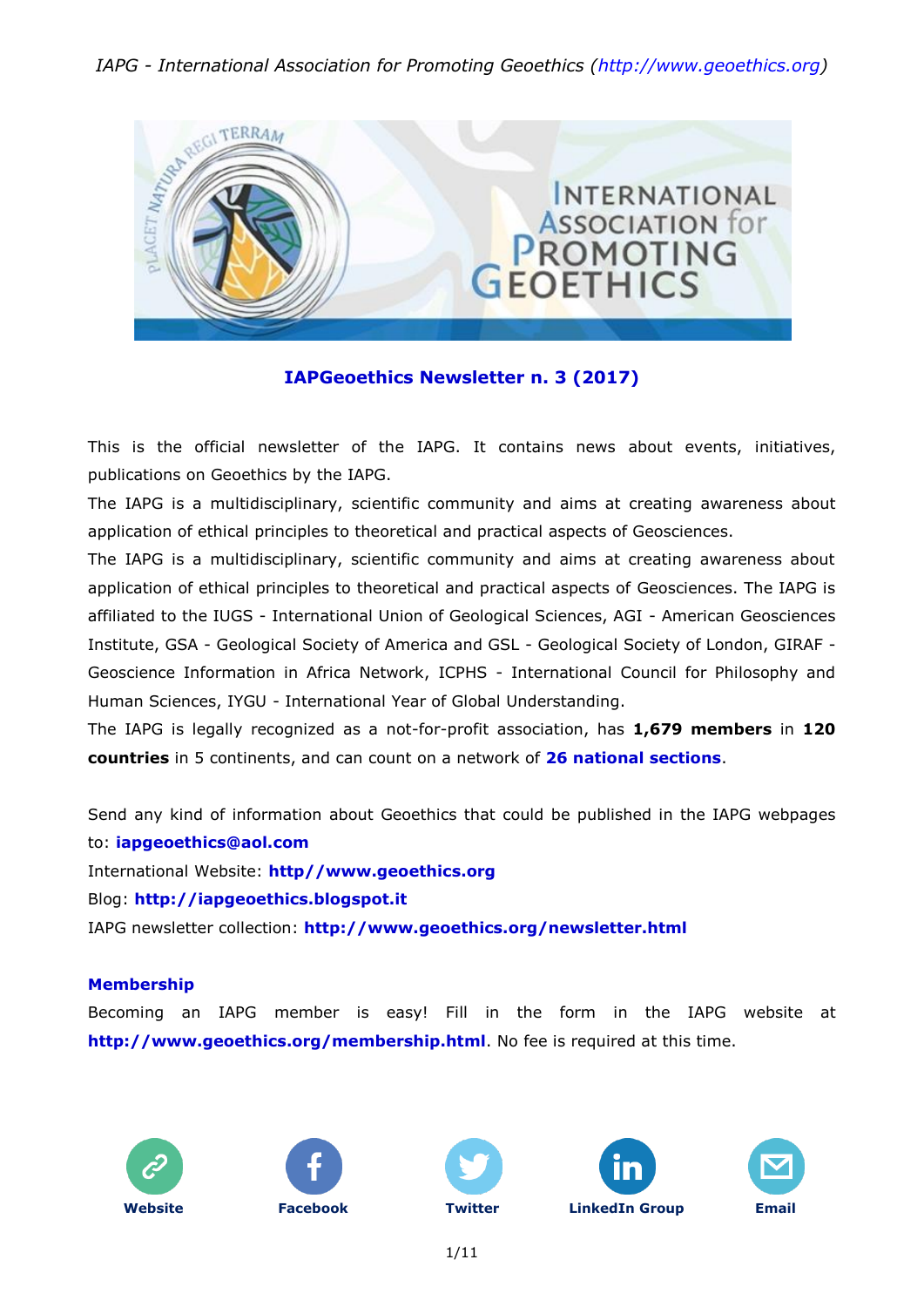#### *IAPG - International Association for Promoting Geoethics [\(http://www.geoethics.org\)](http://www.geoethics.org/)*



#### **IAPGeoethics Newsletter n. 3 (2017)**

This is the official newsletter of the IAPG. It contains news about events, initiatives, publications on Geoethics by the IAPG.

The IAPG is a multidisciplinary, scientific community and aims at creating awareness about application of ethical principles to theoretical and practical aspects of Geosciences.

The IAPG is a multidisciplinary, scientific community and aims at creating awareness about application of ethical principles to theoretical and practical aspects of Geosciences. The IAPG is affiliated to the IUGS - International Union of Geological Sciences, AGI - American Geosciences Institute, GSA - Geological Society of America and GSL - Geological Society of London, GIRAF - Geoscience Information in Africa Network, ICPHS - International Council for Philosophy and Human Sciences, IYGU - International Year of Global Understanding.

The IAPG is legally recognized as a not-for-profit association, has **1,679 members** in **120 countries** in 5 continents, and can count on a network of **26 national [sections](http://www.geoethics.org/sections.html)**.

Send any kind of information about Geoethics that could be published in the IAPG webpages to: **[iapgeoethics@aol.com](mailto:iapgeoethics@aol.com?subject=IAPG%20newsletter)** International Website: **[http//www.geoethics.org](http://www.geoethics.org/)** Blog: **[http://iapgeoethics.blogspot.it](http://iapgeoethics.blogspot.it/)** IAPG newsletter collection: **<http://www.geoethics.org/newsletter.html>**

#### **Membership**

Becoming an IAPG member is easy! Fill in the form in the IAPG website at **<http://www.geoethics.org/membership.html>**. No fee is required at this time.











1/11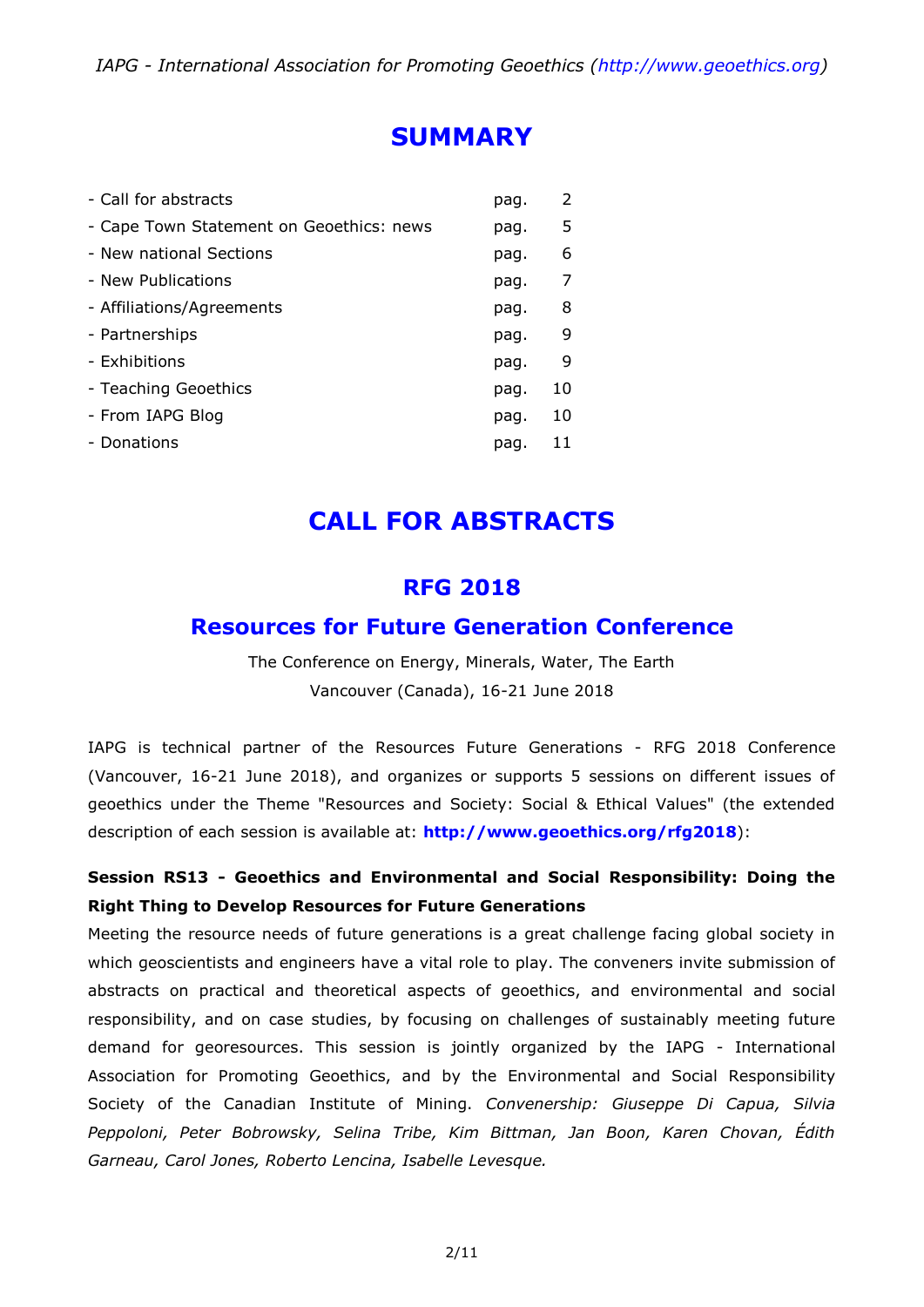# **SUMMARY**

| - Call for abstracts                     | pag. | 2  |
|------------------------------------------|------|----|
| - Cape Town Statement on Geoethics: news | pag. | 5  |
| - New national Sections                  | pag. | 6  |
| - New Publications                       | pag. | 7  |
| - Affiliations/Agreements                | pag. | 8  |
| - Partnerships                           | pag. | 9  |
| - Exhibitions                            | pag. | 9  |
| - Teaching Geoethics                     | pag. | 10 |
| - From IAPG Blog                         | pag. | 10 |
| - Donations                              | pag. | 11 |

# **CALL FOR ABSTRACTS**

### **RFG 2018**

### **Resources for Future Generation Conference**

The Conference on Energy, Minerals, Water, The Earth Vancouver (Canada), 16-21 June 2018

IAPG is technical partner of the Resources Future Generations - RFG 2018 Conference (Vancouver, 16-21 June 2018), and organizes or supports 5 sessions on different issues of geoethics under the Theme "Resources and Society: Social & Ethical Values" (the extended description of each session is available at: **<http://www.geoethics.org/rfg2018>**):

### **Session RS13 - Geoethics and Environmental and Social Responsibility: Doing the Right Thing to Develop Resources for Future Generations**

Meeting the resource needs of future generations is a great challenge facing global society in which geoscientists and engineers have a vital role to play. The conveners invite submission of abstracts on practical and theoretical aspects of geoethics, and environmental and social responsibility, and on case studies, by focusing on challenges of sustainably meeting future demand for georesources. This session is jointly organized by the IAPG - International Association for Promoting Geoethics, and by the Environmental and Social Responsibility Society of the Canadian Institute of Mining. *Convenership: Giuseppe Di Capua, Silvia Peppoloni, Peter Bobrowsky, Selina Tribe, Kim Bittman, Jan Boon, Karen Chovan, Édith Garneau, Carol Jones, Roberto Lencina, Isabelle Levesque.*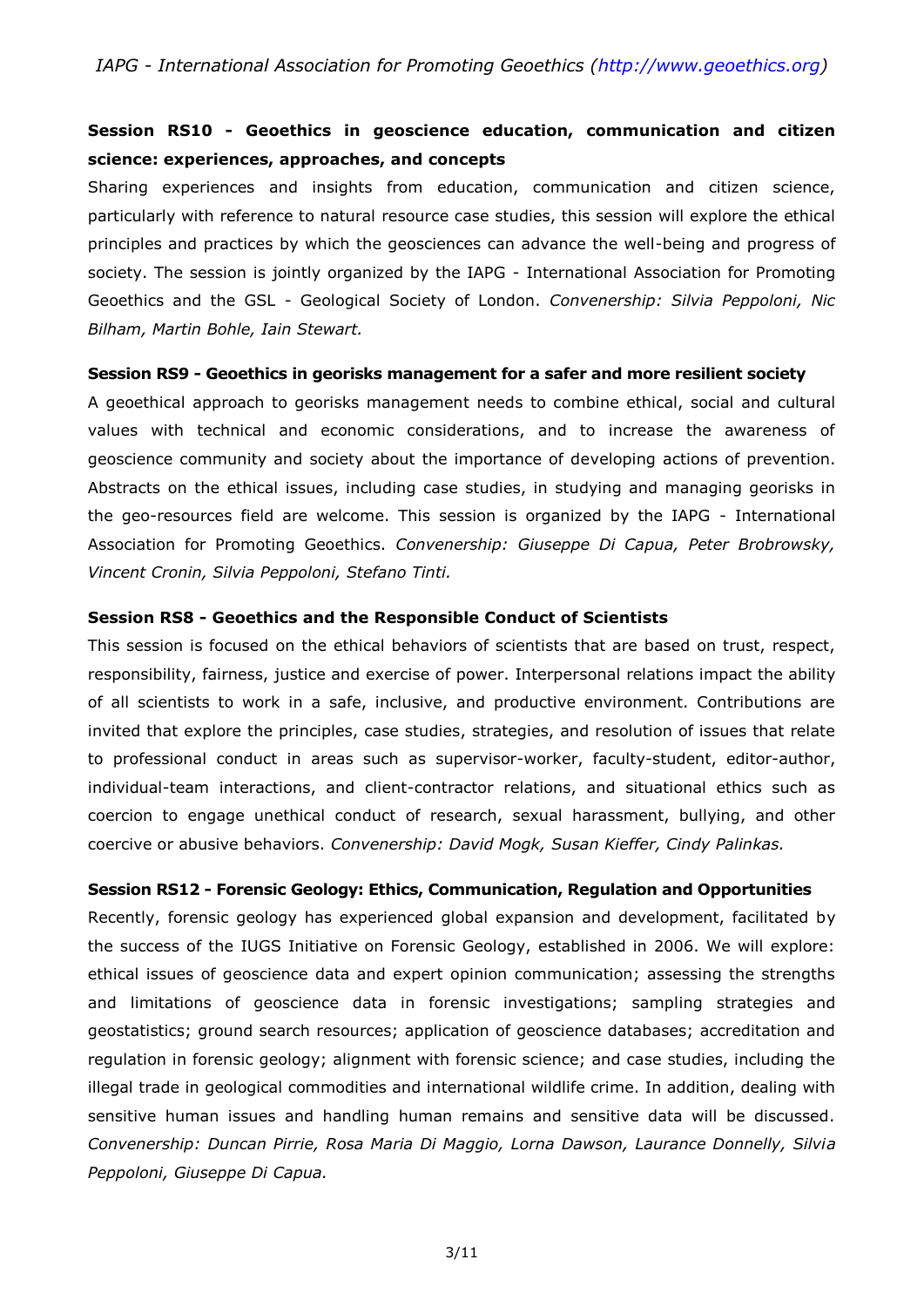#### **Session RS10 - Geoethics in geoscience education, communication and citizen science: experiences, approaches, and concepts**

Sharing experiences and insights from education, communication and citizen science, particularly with reference to natural resource case studies, this session will explore the ethical principles and practices by which the geosciences can advance the well-being and progress of society. The session is jointly organized by the IAPG - International Association for Promoting Geoethics and the GSL - Geological Society of London. *Convenership: Silvia Peppoloni, Nic Bilham, Martin Bohle, Iain Stewart.*

#### **Session RS9 - Geoethics in georisks management for a safer and more resilient society**

A geoethical approach to georisks management needs to combine ethical, social and cultural values with technical and economic considerations, and to increase the awareness of geoscience community and society about the importance of developing actions of prevention. Abstracts on the ethical issues, including case studies, in studying and managing georisks in the geo-resources field are welcome. This session is organized by the IAPG - International Association for Promoting Geoethics. *Convenership: Giuseppe Di Capua, Peter Brobrowsky, Vincent Cronin, Silvia Peppoloni, Stefano Tinti.*

#### **Session RS8 - Geoethics and the Responsible Conduct of Scientists**

This session is focused on the ethical behaviors of scientists that are based on trust, respect, responsibility, fairness, justice and exercise of power. Interpersonal relations impact the ability of all scientists to work in a safe, inclusive, and productive environment. Contributions are invited that explore the principles, case studies, strategies, and resolution of issues that relate to professional conduct in areas such as supervisor-worker, faculty-student, editor-author, individual-team interactions, and client-contractor relations, and situational ethics such as coercion to engage unethical conduct of research, sexual harassment, bullying, and other coercive or abusive behaviors. *Convenership: David Mogk, Susan Kieffer, Cindy Palinkas.*

#### **Session RS12 - Forensic Geology: Ethics, Communication, Regulation and Opportunities**

Recently, forensic geology has experienced global expansion and development, facilitated by the success of the IUGS Initiative on Forensic Geology, established in 2006. We will explore: ethical issues of geoscience data and expert opinion communication; assessing the strengths and limitations of geoscience data in forensic investigations; sampling strategies and geostatistics; ground search resources; application of geoscience databases; accreditation and regulation in forensic geology; alignment with forensic science; and case studies, including the illegal trade in geological commodities and international wildlife crime. In addition, dealing with sensitive human issues and handling human remains and sensitive data will be discussed. *Convenership: Duncan Pirrie, Rosa Maria Di Maggio, Lorna Dawson, Laurance Donnelly, Silvia Peppoloni, Giuseppe Di Capua.*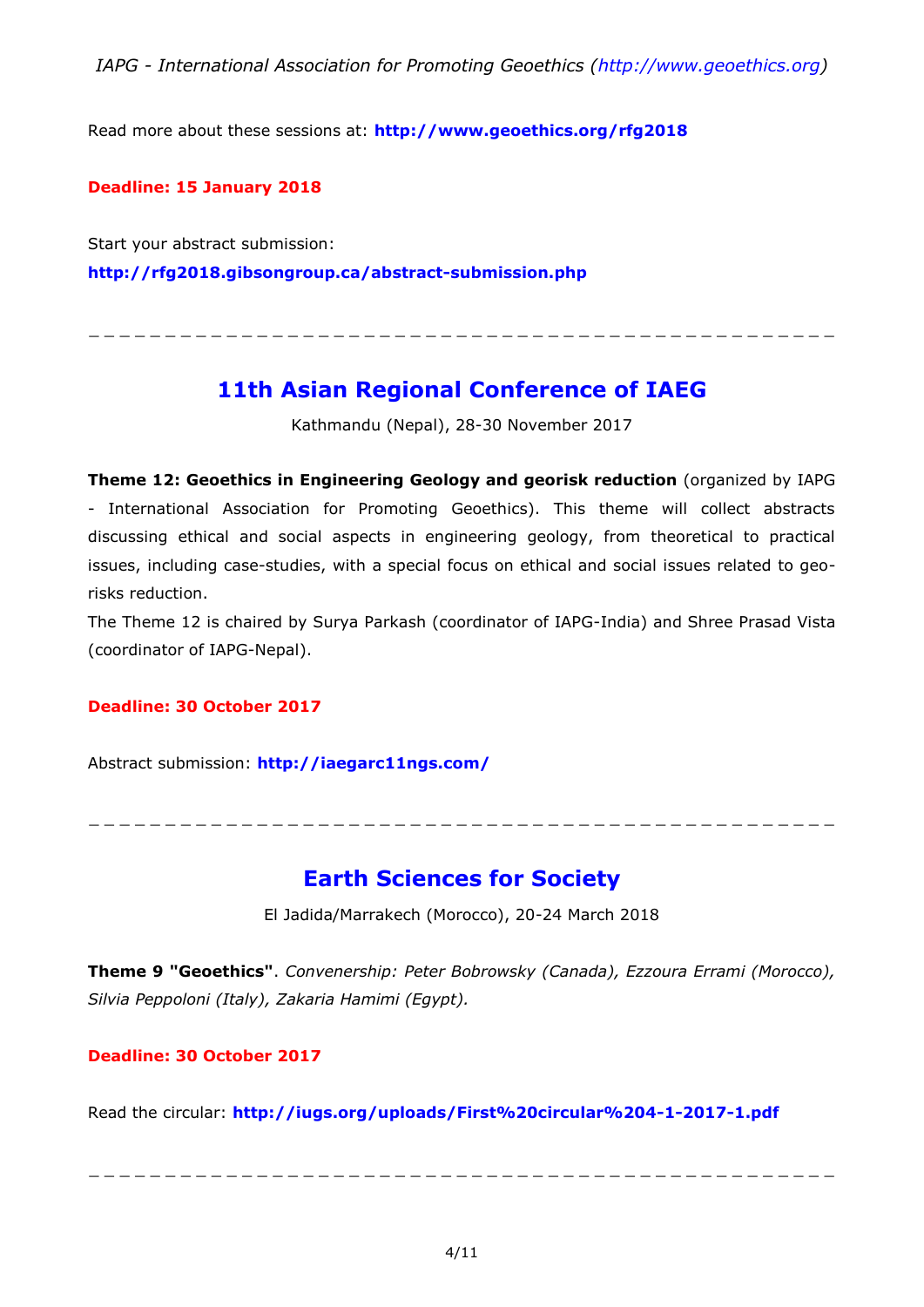Read more about these sessions at: **<http://www.geoethics.org/rfg2018>**

#### **Deadline: 15 January 2018**

Start your abstract submission: **<http://rfg2018.gibsongroup.ca/abstract-submission.php>**

### **11th Asian Regional Conference of IAEG**

\_ \_ \_ \_ \_ \_ \_ \_ \_ \_ \_ \_ \_ \_ \_ \_ \_ \_ \_ \_ \_ \_ \_ \_ \_ \_ \_ \_ \_ \_ \_ \_ \_ \_ \_ \_ \_ \_ \_ \_ \_ \_ \_ \_ \_ \_ \_ \_ \_

Kathmandu (Nepal), 28-30 November 2017

**Theme 12: Geoethics in Engineering Geology and georisk reduction** (organized by IAPG - International Association for Promoting Geoethics). This theme will collect abstracts discussing ethical and social aspects in engineering geology, from theoretical to practical issues, including case-studies, with a special focus on ethical and social issues related to georisks reduction.

The Theme 12 is chaired by Surya Parkash (coordinator of IAPG-India) and Shree Prasad Vista (coordinator of IAPG-Nepal).

#### **Deadline: 30 October 2017**

Abstract submission: **<http://iaegarc11ngs.com/>**

\_ \_ \_ \_ \_ \_ \_ \_ \_ \_ \_ \_ \_ \_ \_ \_ \_ \_ \_ \_ \_ \_ \_ \_ \_ \_ \_ \_ \_ \_ \_ \_ \_ \_ \_ \_ \_ \_ \_ \_ \_ \_ \_ \_ \_ \_ \_ \_ \_

### **Earth Sciences for Society**

El Jadida/Marrakech (Morocco), 20-24 March 2018

**Theme 9 "Geoethics"**. *Convenership: Peter Bobrowsky (Canada), Ezzoura Errami (Morocco), Silvia Peppoloni (Italy), Zakaria Hamimi (Egypt).*

#### **Deadline: 30 October 2017**

Read the circular: **<http://iugs.org/uploads/First%20circular%204-1-2017-1.pdf>**

\_ \_ \_ \_ \_ \_ \_ \_ \_ \_ \_ \_ \_ \_ \_ \_ \_ \_ \_ \_ \_ \_ \_ \_ \_ \_ \_ \_ \_ \_ \_ \_ \_ \_ \_ \_ \_ \_ \_ \_ \_ \_ \_ \_ \_ \_ \_ \_ \_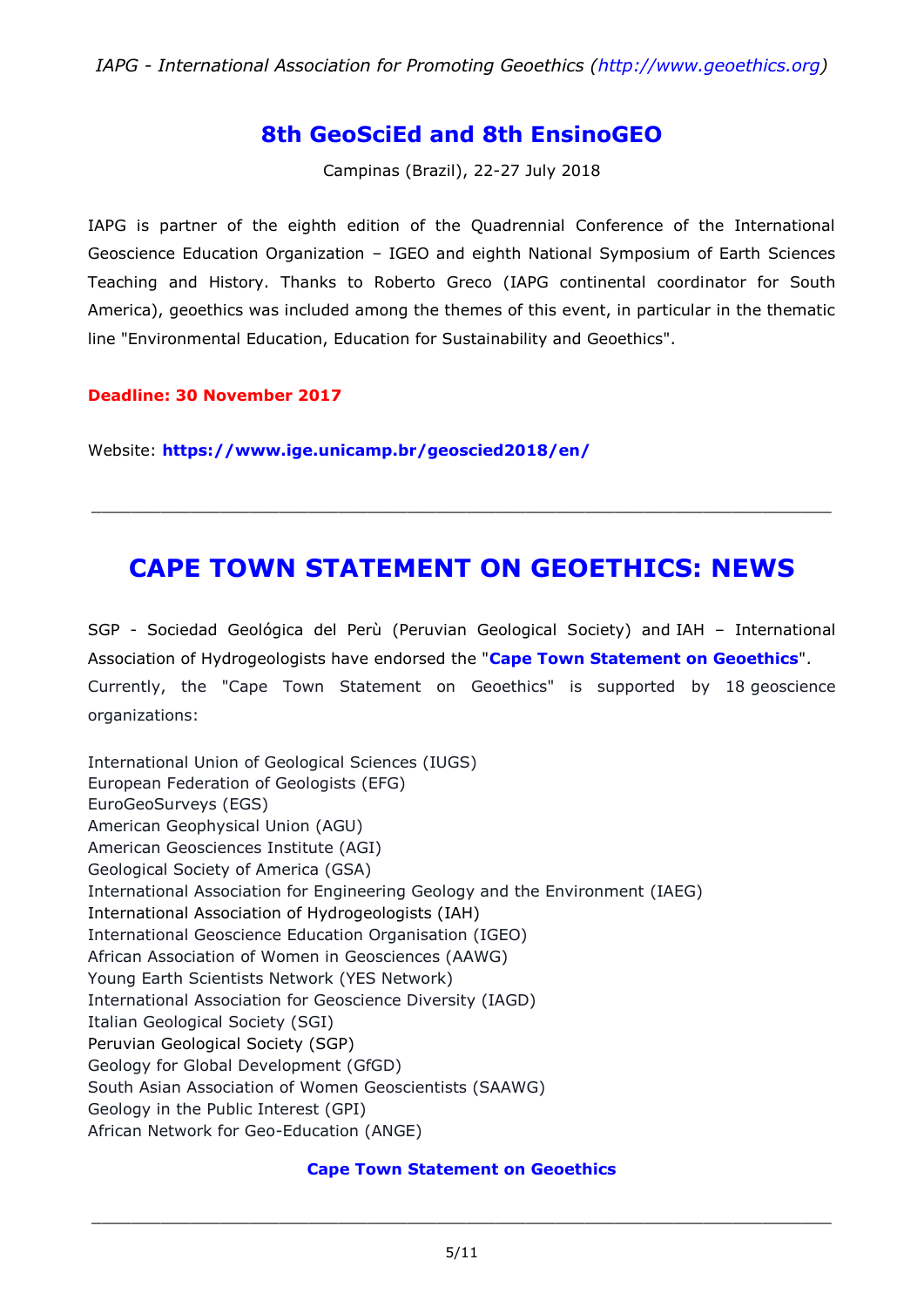### **8th GeoSciEd and 8th EnsinoGEO**

Campinas (Brazil), 22-27 July 2018

IAPG is partner of the eighth edition of the Quadrennial Conference of the International Geoscience Education Organization – IGEO and eighth National Symposium of Earth Sciences Teaching and History. Thanks to Roberto Greco (IAPG continental coordinator for South America), geoethics was included among the themes of this event, in particular in the thematic line "Environmental Education, Education for Sustainability and Geoethics".

#### **Deadline: 30 November 2017**

Website: **<https://www.ige.unicamp.br/geoscied2018/en/>**

# **CAPE TOWN STATEMENT ON GEOETHICS: NEWS**

\_\_\_\_\_\_\_\_\_\_\_\_\_\_\_\_\_\_\_\_\_\_\_\_\_\_\_\_\_\_\_\_\_\_\_\_\_\_\_\_\_\_\_\_\_\_\_\_\_\_\_\_\_\_\_\_\_\_\_\_\_\_\_\_\_\_\_\_\_\_\_\_\_\_\_

SGP - Sociedad Geológica del Perù (Peruvian Geological Society) and IAH – International Association of Hydrogeologists have endorsed the "**[Cape Town Statement on Geoethics](http://www.geoethics.org/ctsg)**". Currently, the "Cape Town Statement on Geoethics" is supported by 18 geoscience organizations:

International Union of Geological Sciences (IUGS) European Federation of Geologists (EFG) EuroGeoSurveys (EGS) American Geophysical Union (AGU) American Geosciences Institute (AGI) Geological Society of America (GSA) International Association for Engineering Geology and the Environment (IAEG) International Association of Hydrogeologists (IAH) International Geoscience Education Organisation (IGEO) African Association of Women in Geosciences (AAWG) Young Earth Scientists Network (YES Network) International Association for Geoscience Diversity (IAGD) Italian Geological Society (SGI) Peruvian Geological Society (SGP) Geology for Global Development (GfGD) South Asian Association of Women Geoscientists (SAAWG) Geology in the Public Interest (GPI) African Network for Geo-Education (ANGE)

#### **Cape Town [Statement](http://www.geoethics.org/ctsg) on Geoethics**

\_\_\_\_\_\_\_\_\_\_\_\_\_\_\_\_\_\_\_\_\_\_\_\_\_\_\_\_\_\_\_\_\_\_\_\_\_\_\_\_\_\_\_\_\_\_\_\_\_\_\_\_\_\_\_\_\_\_\_\_\_\_\_\_\_\_\_\_\_\_\_\_\_\_\_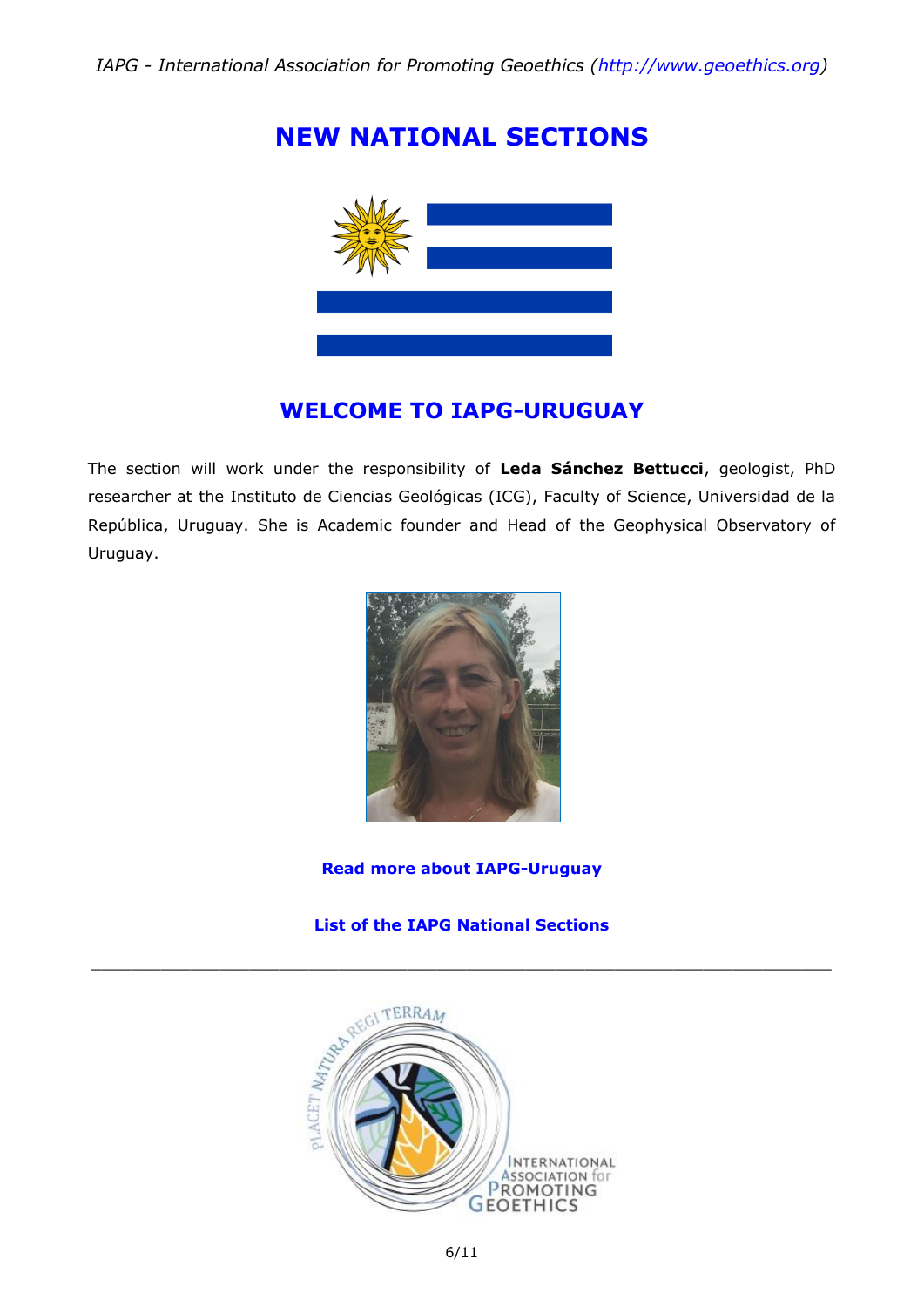# **NEW NATIONAL SECTIONS**



### **WELCOME TO IAPG-URUGUAY**

The section will work under the responsibility of **Leda Sánchez Bettucci**, geologist, PhD researcher at the Instituto de Ciencias Geológicas (ICG), Faculty of Science, Universidad de la República, Uruguay. She is Academic founder and Head of the Geophysical Observatory of Uruguay.



#### **[Read more about IAPG-Uruguay](https://iapgeoethics.blogspot.it/2017/07/the-iapg-section-of-uruguay-welcome-to.html)**

#### **List of the IAPG National [Sections](http://www.geoethics.org/sections)**

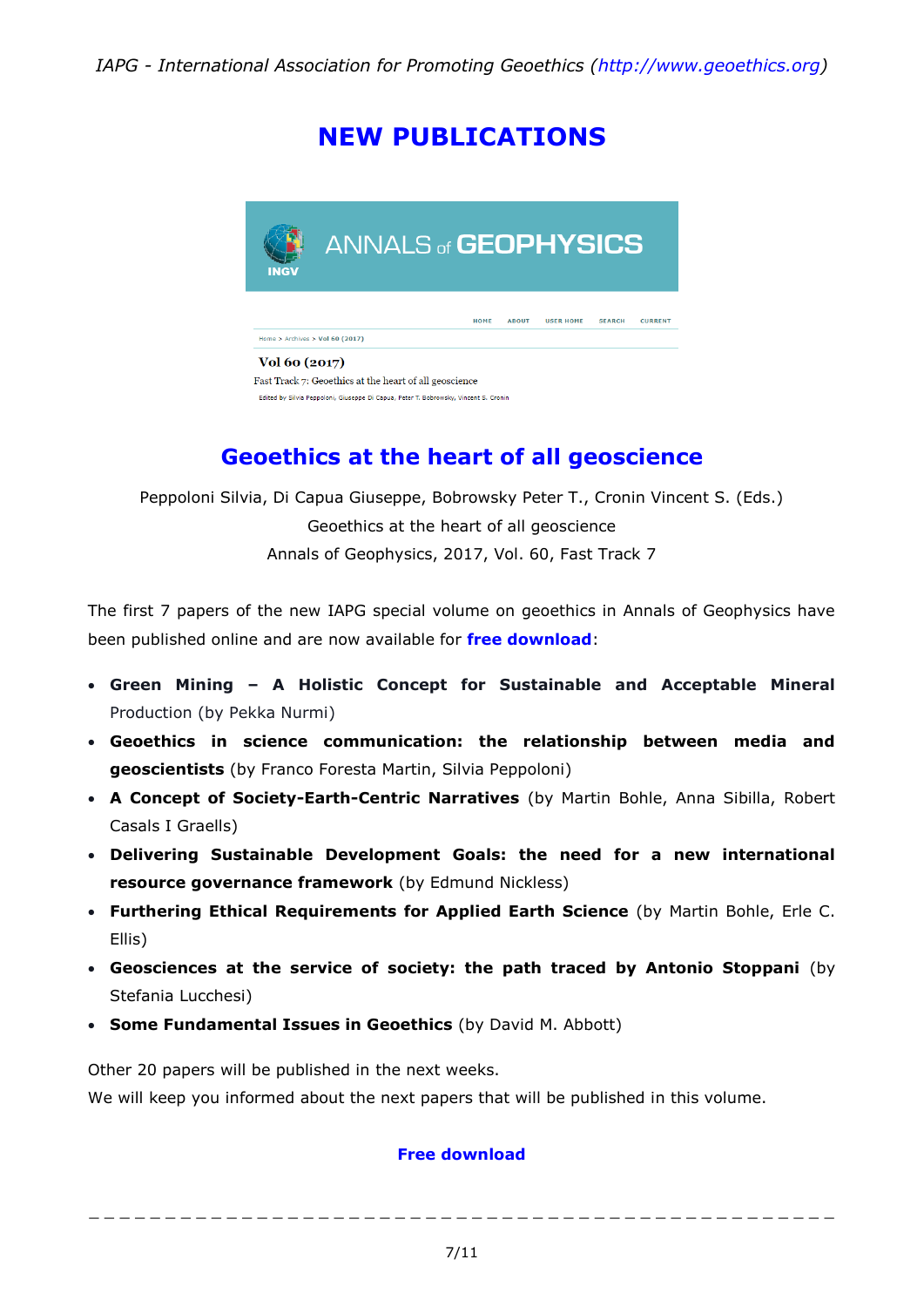# **NEW PUBLICATIONS**



#### Fast Track 7: Geoethics at the heart of all geoscience

Edited by Silvia Peppoloni, Giuseppe Di Capua, Peter T. Bobrowsky, Vincent S. Cronin

# **Geoethics at the heart of all geoscience**

Peppoloni Silvia, Di Capua Giuseppe, Bobrowsky Peter T., Cronin Vincent S. (Eds.) Geoethics at the heart of all geoscience Annals of Geophysics, 2017, Vol. 60, Fast Track 7

The first 7 papers of the new IAPG special volume on geoethics in Annals of Geophysics have been published online and are now available for **[free download](http://www.geoethics.org/geoethics-ag2017)**:

- **Green Mining – A Holistic Concept for Sustainable and Acceptable Mineral**  Production (by Pekka Nurmi)
- **Geoethics in science communication: the relationship between media and geoscientists** (by Franco Foresta Martin, Silvia Peppoloni)
- **A Concept of Society-Earth-Centric Narratives** (by Martin Bohle, Anna Sibilla, Robert Casals I Graells)
- **Delivering Sustainable Development Goals: the need for a new international resource governance framework** (by Edmund Nickless)
- **Furthering Ethical Requirements for Applied Earth Science** (by Martin Bohle, Erle C. Ellis)
- **Geosciences at the service of society: the path traced by Antonio Stoppani** (by Stefania Lucchesi)
- **Some Fundamental Issues in Geoethics** (by David M. Abbott)

Other 20 papers will be published in the next weeks.

We will keep you informed about the next papers that will be published in this volume.

#### **[Free download](http://www.geoethics.org/geoethics-ag2017)**

\_ \_ \_ \_ \_ \_ \_ \_ \_ \_ \_ \_ \_ \_ \_ \_ \_ \_ \_ \_ \_ \_ \_ \_ \_ \_ \_ \_ \_ \_ \_ \_ \_ \_ \_ \_ \_ \_ \_ \_ \_ \_ \_ \_ \_ \_ \_ \_ \_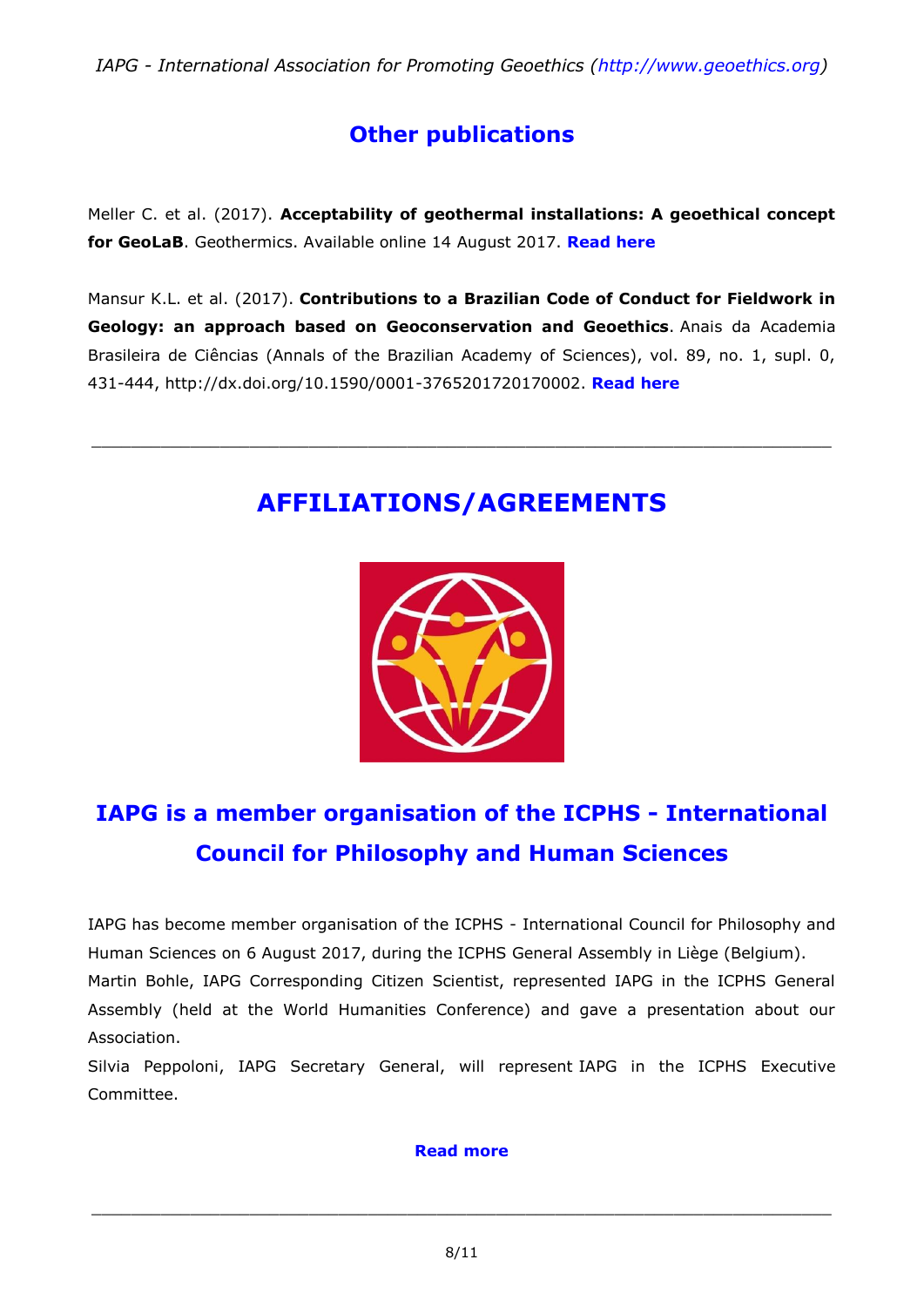*IAPG - International Association for Promoting Geoethics [\(http://www.geoethics.org\)](http://www.geoethics.org/)*

# **Other publications**

Meller C. et al. (2017). **Acceptability of geothermal installations: A geoethical concept for GeoLaB**. Geothermics. Available online 14 August 2017. **[Read here](http://www.sciencedirect.com/science/article/pii/S0375650517300858?via%3Dihub)**

Mansur K.L. et al. (2017). **Contributions to a Brazilian Code of Conduct for Fieldwork in Geology: an approach based on Geoconservation and Geoethics**. Anais da Academia Brasileira de Ciências (Annals of the Brazilian Academy of Sciences), vol. 89, no. 1, supl. 0, 431-444, http://dx.doi.org/10.1590/0001-3765201720170002. **[Read here](http://docs.wixstatic.com/ugd/5195a5_e00a8ef8827c43108d4ed9de869f2bfa.pdf)**

# **AFFILIATIONS/AGREEMENTS**

\_\_\_\_\_\_\_\_\_\_\_\_\_\_\_\_\_\_\_\_\_\_\_\_\_\_\_\_\_\_\_\_\_\_\_\_\_\_\_\_\_\_\_\_\_\_\_\_\_\_\_\_\_\_\_\_\_\_\_\_\_\_\_\_\_\_\_\_\_\_\_\_\_\_\_



# **IAPG is a member organisation of the ICPHS - International Council for Philosophy and Human Sciences**

IAPG has become member organisation of the ICPHS - International Council for Philosophy and Human Sciences on 6 August 2017, during the ICPHS General Assembly in Liège (Belgium). Martin Bohle, IAPG Corresponding Citizen Scientist, represented IAPG in the ICPHS General Assembly (held at the World Humanities Conference) and gave a presentation about our Association.

Silvia Peppoloni, IAPG Secretary General, will represent IAPG in the ICPHS Executive Committee.

#### **[Read more](http://www.geoethics.org/affiliations-agreements)**

\_\_\_\_\_\_\_\_\_\_\_\_\_\_\_\_\_\_\_\_\_\_\_\_\_\_\_\_\_\_\_\_\_\_\_\_\_\_\_\_\_\_\_\_\_\_\_\_\_\_\_\_\_\_\_\_\_\_\_\_\_\_\_\_\_\_\_\_\_\_\_\_\_\_\_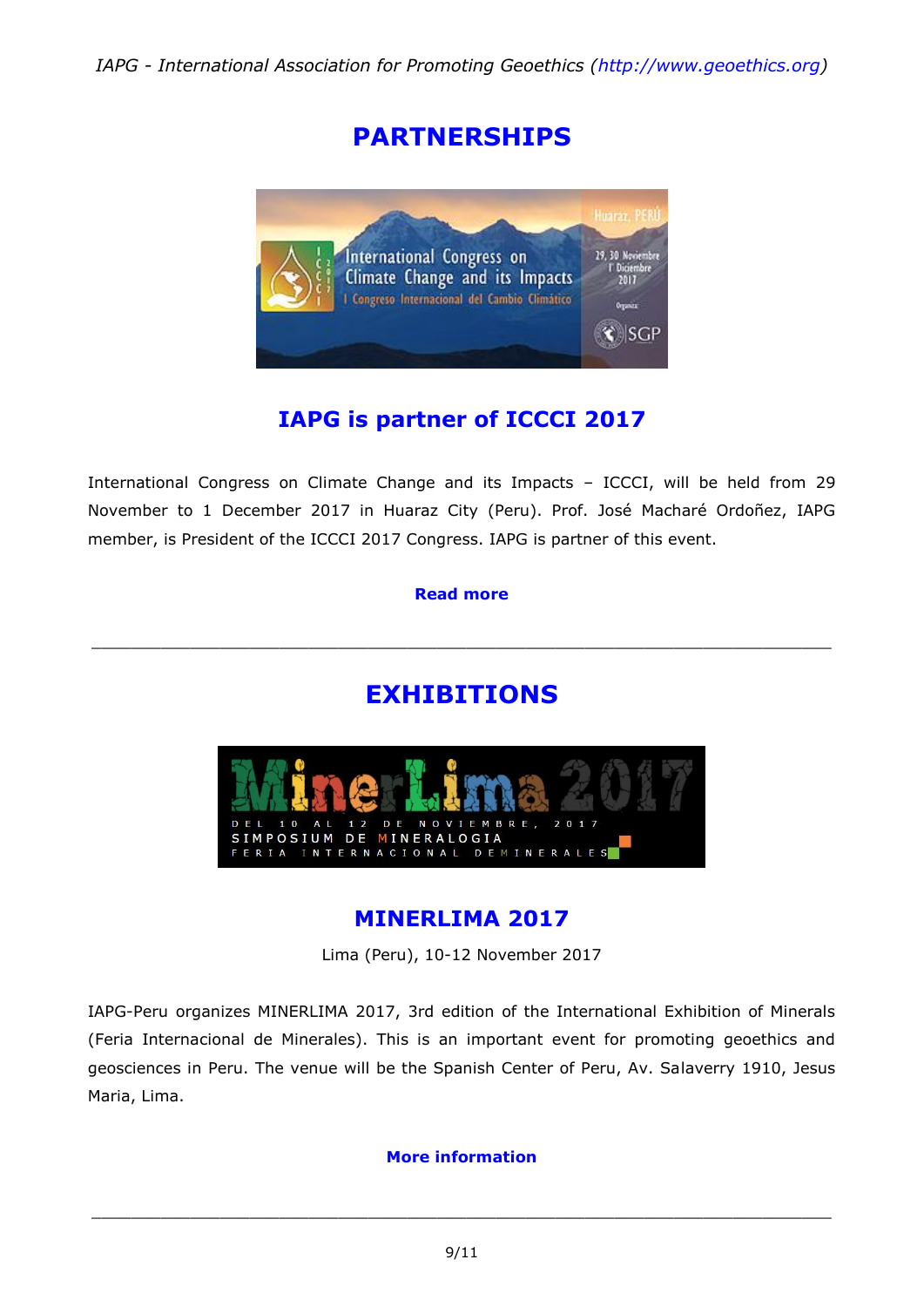# **PARTNERSHIPS**



# **IAPG is partner of ICCCI 2017**

International Congress on Climate Change and its Impacts – ICCCI, will be held from 29 November to 1 December 2017 in Huaraz City (Peru). Prof. José Macharé Ordoñez, IAPG member, is President of the ICCCI 2017 Congress. IAPG is partner of this event.

#### **[Read more](http://www.sgp.org.pe/icccien/home/)**

# **EXHIBITIONS**

\_\_\_\_\_\_\_\_\_\_\_\_\_\_\_\_\_\_\_\_\_\_\_\_\_\_\_\_\_\_\_\_\_\_\_\_\_\_\_\_\_\_\_\_\_\_\_\_\_\_\_\_\_\_\_\_\_\_\_\_\_\_\_\_\_\_\_\_\_\_\_\_\_\_\_



### **MINERLIMA 2017**

Lima (Peru), 10-12 November 2017

IAPG-Peru organizes MINERLIMA 2017, 3rd edition of the International Exhibition of Minerals (Feria Internacional de Minerales). This is an important event for promoting geoethics and geosciences in Peru. The venue will be the Spanish Center of Peru, Av. Salaverry 1910, Jesus Maria, Lima.

#### **[More information](http://www.minerlima.com/)**

\_\_\_\_\_\_\_\_\_\_\_\_\_\_\_\_\_\_\_\_\_\_\_\_\_\_\_\_\_\_\_\_\_\_\_\_\_\_\_\_\_\_\_\_\_\_\_\_\_\_\_\_\_\_\_\_\_\_\_\_\_\_\_\_\_\_\_\_\_\_\_\_\_\_\_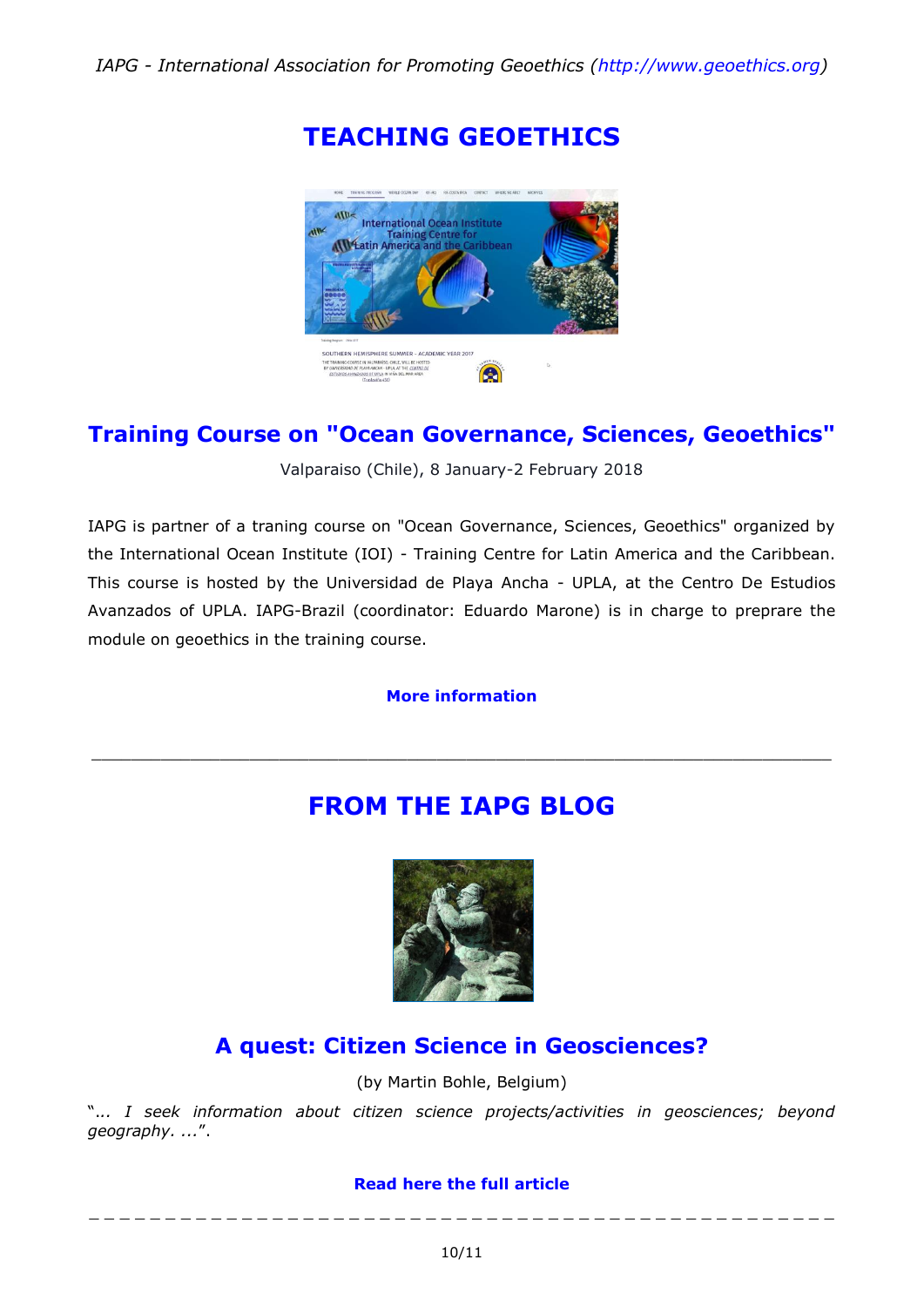**TEACHING GEOETHICS**



### **Training Course on "Ocean Governance, Sciences, Geoethics"**

Valparaiso (Chile), 8 January-2 February 2018

IAPG is partner of a traning course on "Ocean Governance, Sciences, Geoethics" organized by the International Ocean Institute (IOI) - Training Centre for Latin America and the Caribbean. This course is hosted by the Universidad de Playa Ancha - UPLA, at the Centro De Estudios Avanzados of UPLA. IAPG-Brazil (coordinator: Eduardo Marone) is in charge to preprare the module on geoethics in the training course.

**[More information](https://www.ioitclac.org/training-program/chile-2017/)**

\_\_\_\_\_\_\_\_\_\_\_\_\_\_\_\_\_\_\_\_\_\_\_\_\_\_\_\_\_\_\_\_\_\_\_\_\_\_\_\_\_\_\_\_\_\_\_\_\_\_\_\_\_\_\_\_\_\_\_\_\_\_\_\_\_\_\_\_\_\_\_\_\_\_\_

# **FROM THE IAPG BLOG**



## **[A quest: Citizen Science in Geosciences?](http://iapgeoethics.blogspot.it/2017/09/a-quest-citizen-science-in-geosciences.html)**

(by Martin Bohle, Belgium)

".*.. I seek information about citizen science projects/activities in geosciences; beyond geography. ...*".

### **[Read here the full article](http://iapgeoethics.blogspot.it/2017/09/a-quest-citizen-science-in-geosciences.html)** \_ \_ \_ \_ \_ \_ \_ \_ \_ \_ \_ \_ \_ \_ \_ \_ \_ \_ \_ \_ \_ \_ \_ \_ \_ \_ \_ \_ \_ \_ \_ \_ \_ \_ \_ \_ \_ \_ \_ \_ \_ \_ \_ \_ \_ \_ \_ \_ \_